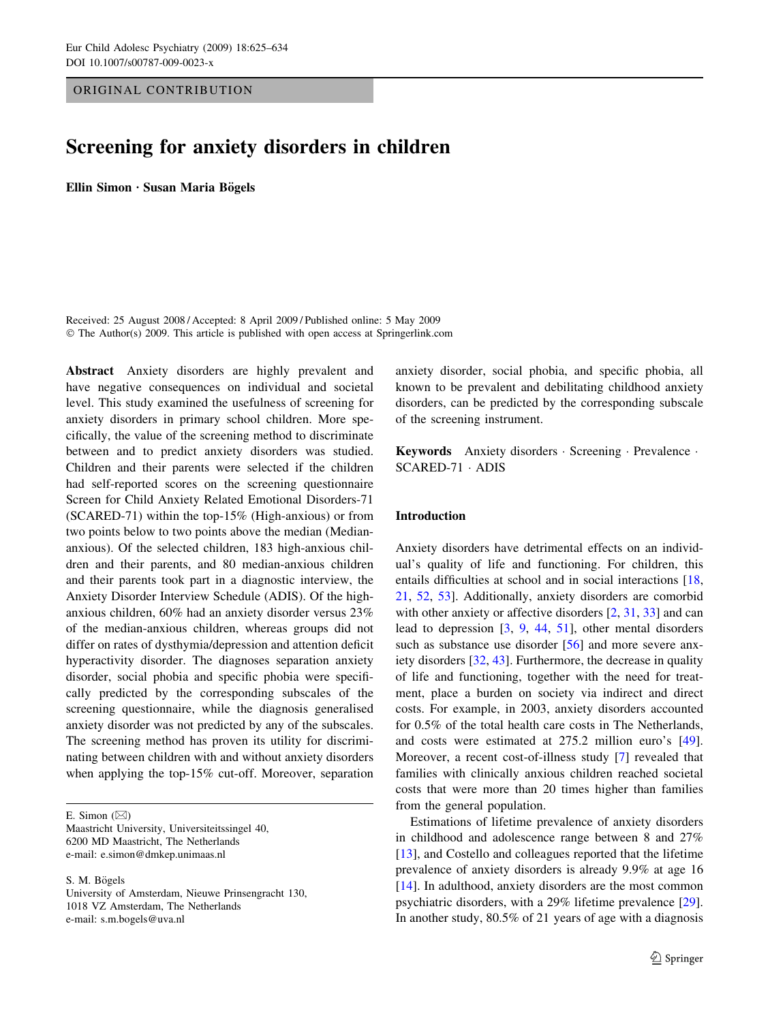ORIGINAL CONTRIBUTION

# Screening for anxiety disorders in children

Ellin Simon · Susan Maria Bögels

Received: 25 August 2008 / Accepted: 8 April 2009 / Published online: 5 May 2009  $\odot$  The Author(s) 2009. This article is published with open access at Springerlink.com

Abstract Anxiety disorders are highly prevalent and have negative consequences on individual and societal level. This study examined the usefulness of screening for anxiety disorders in primary school children. More specifically, the value of the screening method to discriminate between and to predict anxiety disorders was studied. Children and their parents were selected if the children had self-reported scores on the screening questionnaire Screen for Child Anxiety Related Emotional Disorders-71 (SCARED-71) within the top-15% (High-anxious) or from two points below to two points above the median (Mediananxious). Of the selected children, 183 high-anxious children and their parents, and 80 median-anxious children and their parents took part in a diagnostic interview, the Anxiety Disorder Interview Schedule (ADIS). Of the highanxious children, 60% had an anxiety disorder versus 23% of the median-anxious children, whereas groups did not differ on rates of dysthymia/depression and attention deficit hyperactivity disorder. The diagnoses separation anxiety disorder, social phobia and specific phobia were specifically predicted by the corresponding subscales of the screening questionnaire, while the diagnosis generalised anxiety disorder was not predicted by any of the subscales. The screening method has proven its utility for discriminating between children with and without anxiety disorders when applying the top-15% cut-off. Moreover, separation

E. Simon  $(\boxtimes)$ 

Maastricht University, Universiteitssingel 40, 6200 MD Maastricht, The Netherlands e-mail: e.simon@dmkep.unimaas.nl

S. M. Bögels

University of Amsterdam, Nieuwe Prinsengracht 130, 1018 VZ Amsterdam, The Netherlands e-mail: s.m.bogels@uva.nl

anxiety disorder, social phobia, and specific phobia, all known to be prevalent and debilitating childhood anxiety disorders, can be predicted by the corresponding subscale of the screening instrument.

Keywords Anxiety disorders · Screening · Prevalence · SCARED-71 · ADIS

# Introduction

Anxiety disorders have detrimental effects on an individual's quality of life and functioning. For children, this entails difficulties at school and in social interactions [[18,](#page-8-0) [21](#page-8-0), [52,](#page-9-0) [53\]](#page-9-0). Additionally, anxiety disorders are comorbid with other anxiety or affective disorders [[2,](#page-7-0) [31](#page-8-0), [33\]](#page-8-0) and can lead to depression [[3,](#page-7-0) [9,](#page-7-0) [44,](#page-8-0) [51\]](#page-9-0), other mental disorders such as substance use disorder [[56](#page-9-0)] and more severe anxiety disorders [\[32](#page-8-0), [43](#page-8-0)]. Furthermore, the decrease in quality of life and functioning, together with the need for treatment, place a burden on society via indirect and direct costs. For example, in 2003, anxiety disorders accounted for 0.5% of the total health care costs in The Netherlands, and costs were estimated at 275.2 million euro's [\[49](#page-9-0)]. Moreover, a recent cost-of-illness study [[7\]](#page-7-0) revealed that families with clinically anxious children reached societal costs that were more than 20 times higher than families from the general population.

Estimations of lifetime prevalence of anxiety disorders in childhood and adolescence range between 8 and 27% [\[13](#page-8-0)], and Costello and colleagues reported that the lifetime prevalence of anxiety disorders is already 9.9% at age 16 [\[14](#page-8-0)]. In adulthood, anxiety disorders are the most common psychiatric disorders, with a 29% lifetime prevalence [\[29](#page-8-0)]. In another study, 80.5% of 21 years of age with a diagnosis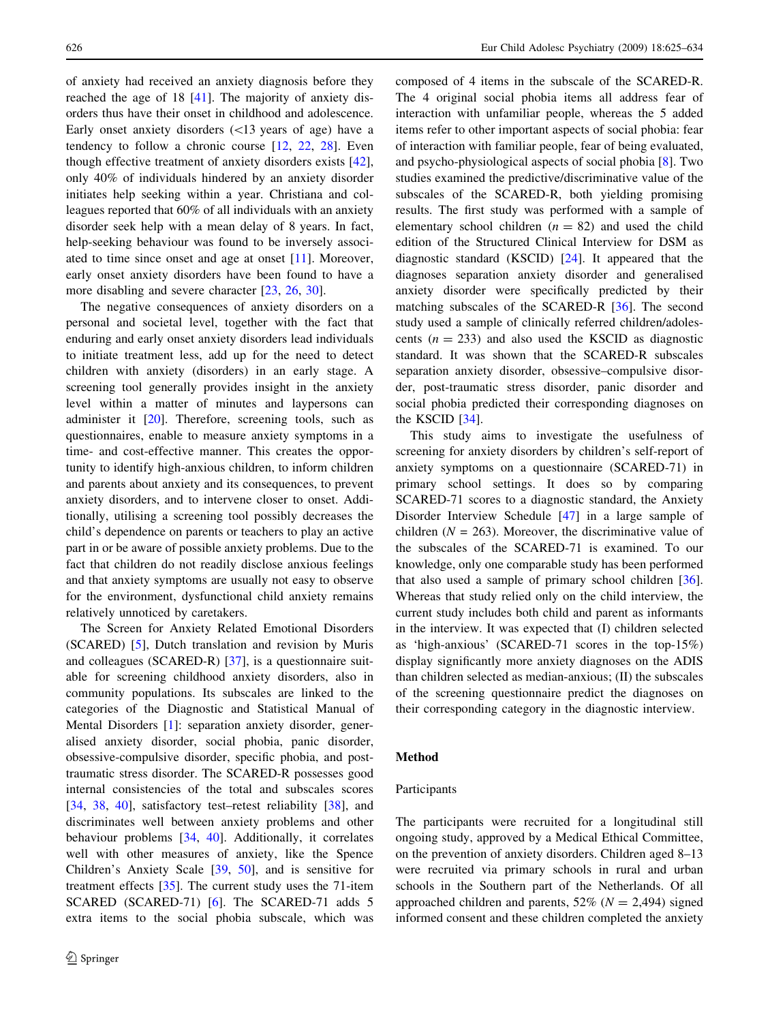of anxiety had received an anxiety diagnosis before they reached the age of 18 [\[41](#page-8-0)]. The majority of anxiety disorders thus have their onset in childhood and adolescence. Early onset anxiety disorders  $(\leq 13$  years of age) have a tendency to follow a chronic course [[12,](#page-7-0) [22,](#page-8-0) [28\]](#page-8-0). Even though effective treatment of anxiety disorders exists [\[42](#page-8-0)], only 40% of individuals hindered by an anxiety disorder initiates help seeking within a year. Christiana and colleagues reported that 60% of all individuals with an anxiety disorder seek help with a mean delay of 8 years. In fact, help-seeking behaviour was found to be inversely associated to time since onset and age at onset [[11\]](#page-7-0). Moreover, early onset anxiety disorders have been found to have a more disabling and severe character [\[23](#page-8-0), [26,](#page-8-0) [30\]](#page-8-0).

The negative consequences of anxiety disorders on a personal and societal level, together with the fact that enduring and early onset anxiety disorders lead individuals to initiate treatment less, add up for the need to detect children with anxiety (disorders) in an early stage. A screening tool generally provides insight in the anxiety level within a matter of minutes and laypersons can administer it [\[20](#page-8-0)]. Therefore, screening tools, such as questionnaires, enable to measure anxiety symptoms in a time- and cost-effective manner. This creates the opportunity to identify high-anxious children, to inform children and parents about anxiety and its consequences, to prevent anxiety disorders, and to intervene closer to onset. Additionally, utilising a screening tool possibly decreases the child's dependence on parents or teachers to play an active part in or be aware of possible anxiety problems. Due to the fact that children do not readily disclose anxious feelings and that anxiety symptoms are usually not easy to observe for the environment, dysfunctional child anxiety remains relatively unnoticed by caretakers.

The Screen for Anxiety Related Emotional Disorders (SCARED) [[5\]](#page-7-0), Dutch translation and revision by Muris and colleagues (SCARED-R) [\[37](#page-8-0)], is a questionnaire suitable for screening childhood anxiety disorders, also in community populations. Its subscales are linked to the categories of the Diagnostic and Statistical Manual of Mental Disorders [[1\]](#page-7-0): separation anxiety disorder, generalised anxiety disorder, social phobia, panic disorder, obsessive-compulsive disorder, specific phobia, and posttraumatic stress disorder. The SCARED-R possesses good internal consistencies of the total and subscales scores [\[34](#page-8-0), [38,](#page-8-0) [40](#page-8-0)], satisfactory test–retest reliability [[38\]](#page-8-0), and discriminates well between anxiety problems and other behaviour problems [\[34](#page-8-0), [40\]](#page-8-0). Additionally, it correlates well with other measures of anxiety, like the Spence Children's Anxiety Scale [\[39](#page-8-0), [50](#page-9-0)], and is sensitive for treatment effects [\[35\]](#page-8-0). The current study uses the 71-item SCARED (SCARED-71) [\[6](#page-7-0)]. The SCARED-71 adds 5 extra items to the social phobia subscale, which was composed of 4 items in the subscale of the SCARED-R. The 4 original social phobia items all address fear of interaction with unfamiliar people, whereas the 5 added items refer to other important aspects of social phobia: fear of interaction with familiar people, fear of being evaluated, and psycho-physiological aspects of social phobia [[8\]](#page-7-0). Two studies examined the predictive/discriminative value of the subscales of the SCARED-R, both yielding promising results. The first study was performed with a sample of elementary school children  $(n = 82)$  and used the child edition of the Structured Clinical Interview for DSM as diagnostic standard (KSCID) [\[24](#page-8-0)]. It appeared that the diagnoses separation anxiety disorder and generalised anxiety disorder were specifically predicted by their matching subscales of the SCARED-R [\[36](#page-8-0)]. The second study used a sample of clinically referred children/adolescents ( $n = 233$ ) and also used the KSCID as diagnostic standard. It was shown that the SCARED-R subscales separation anxiety disorder, obsessive–compulsive disorder, post-traumatic stress disorder, panic disorder and social phobia predicted their corresponding diagnoses on the KSCID [\[34](#page-8-0)].

This study aims to investigate the usefulness of screening for anxiety disorders by children's self-report of anxiety symptoms on a questionnaire (SCARED-71) in primary school settings. It does so by comparing SCARED-71 scores to a diagnostic standard, the Anxiety Disorder Interview Schedule [\[47](#page-8-0)] in a large sample of children ( $N = 263$ ). Moreover, the discriminative value of the subscales of the SCARED-71 is examined. To our knowledge, only one comparable study has been performed that also used a sample of primary school children [\[36](#page-8-0)]. Whereas that study relied only on the child interview, the current study includes both child and parent as informants in the interview. It was expected that (I) children selected as 'high-anxious' (SCARED-71 scores in the top-15%) display significantly more anxiety diagnoses on the ADIS than children selected as median-anxious; (II) the subscales of the screening questionnaire predict the diagnoses on their corresponding category in the diagnostic interview.

## Method

## Participants

The participants were recruited for a longitudinal still ongoing study, approved by a Medical Ethical Committee, on the prevention of anxiety disorders. Children aged 8–13 were recruited via primary schools in rural and urban schools in the Southern part of the Netherlands. Of all approached children and parents,  $52\%$  ( $N = 2,494$ ) signed informed consent and these children completed the anxiety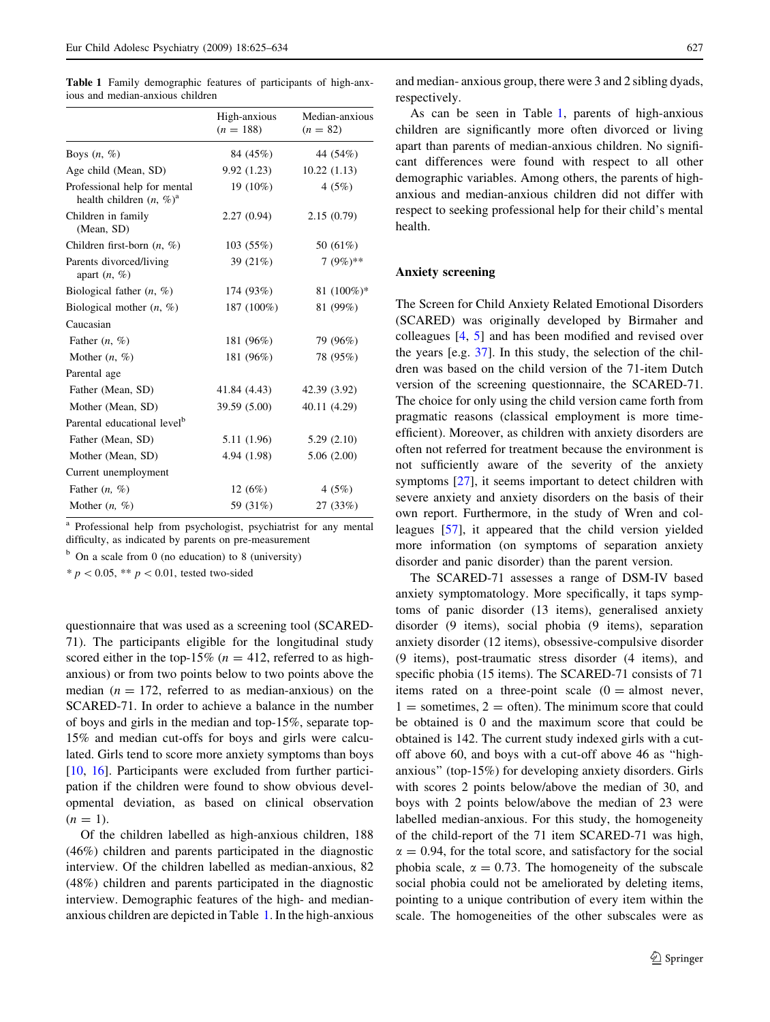Table 1 Family demographic features of participants of high-anxious and median-anxious children

|                                                             | High-anxious<br>$(n = 188)$ | Median-anxious<br>$(n = 82)$ |  |  |
|-------------------------------------------------------------|-----------------------------|------------------------------|--|--|
| Boys $(n, \%)$                                              | 84 (45%)                    | 44 (54%)                     |  |  |
| Age child (Mean, SD)                                        | 9.92(1.23)                  | 10.22(1.13)                  |  |  |
| Professional help for mental<br>health children $(n, \%)^a$ | 19 (10%)                    | 4(5%)                        |  |  |
| Children in family<br>(Mean, SD)                            | 2.27(0.94)                  | 2.15(0.79)                   |  |  |
| Children first-born $(n, \%)$                               | 103(55%)                    | 50 (61%)                     |  |  |
| Parents divorced/living<br>apart $(n, \%)$                  | 39 (21%)                    | $7(9%)**$                    |  |  |
| Biological father $(n, \%)$                                 | 174 (93%)                   | 81 $(100\%)^*$               |  |  |
| Biological mother $(n, \%)$                                 | 187 (100%)                  | 81 (99%)                     |  |  |
| Caucasian                                                   |                             |                              |  |  |
| Father $(n, \%)$                                            | 181 (96%)                   | 79 (96%)                     |  |  |
| Mother $(n, \%)$                                            | 181 (96%)                   | 78 (95%)                     |  |  |
| Parental age                                                |                             |                              |  |  |
| Father (Mean, SD)                                           | 41.84 (4.43)                | 42.39 (3.92)                 |  |  |
| Mother (Mean, SD)                                           | 39.59 (5.00)                | 40.11 (4.29)                 |  |  |
| Parental educational level <sup>b</sup>                     |                             |                              |  |  |
| Father (Mean, SD)                                           | 5.11 (1.96)                 | 5.29(2.10)                   |  |  |
| Mother (Mean, SD)                                           | 4.94 (1.98)                 | 5.06(2.00)                   |  |  |
| Current unemployment                                        |                             |                              |  |  |
| Father $(n, \%)$                                            | 12 $(6%)$                   | 4(5%)                        |  |  |
| Mother $(n, \%)$                                            | 59 (31%)                    | 27 (33%)                     |  |  |

<sup>a</sup> Professional help from psychologist, psychiatrist for any mental difficulty, as indicated by parents on pre-measurement

 $<sup>b</sup>$  On a scale from 0 (no education) to 8 (university)</sup>

\*  $p < 0.05$ , \*\*  $p < 0.01$ , tested two-sided

questionnaire that was used as a screening tool (SCARED-71). The participants eligible for the longitudinal study scored either in the top-15% ( $n = 412$ , referred to as highanxious) or from two points below to two points above the median ( $n = 172$ , referred to as median-anxious) on the SCARED-71. In order to achieve a balance in the number of boys and girls in the median and top-15%, separate top-15% and median cut-offs for boys and girls were calculated. Girls tend to score more anxiety symptoms than boys [\[10](#page-7-0), [16\]](#page-8-0). Participants were excluded from further participation if the children were found to show obvious developmental deviation, as based on clinical observation  $(n = 1)$ .

Of the children labelled as high-anxious children, 188 (46%) children and parents participated in the diagnostic interview. Of the children labelled as median-anxious, 82 (48%) children and parents participated in the diagnostic interview. Demographic features of the high- and mediananxious children are depicted in Table 1. In the high-anxious

and median- anxious group, there were 3 and 2 sibling dyads, respectively.

As can be seen in Table 1, parents of high-anxious children are significantly more often divorced or living apart than parents of median-anxious children. No significant differences were found with respect to all other demographic variables. Among others, the parents of highanxious and median-anxious children did not differ with respect to seeking professional help for their child's mental health.

#### Anxiety screening

The Screen for Child Anxiety Related Emotional Disorders (SCARED) was originally developed by Birmaher and colleagues [\[4](#page-7-0), [5\]](#page-7-0) and has been modified and revised over the years [e.g. [37](#page-8-0)]. In this study, the selection of the children was based on the child version of the 71-item Dutch version of the screening questionnaire, the SCARED-71. The choice for only using the child version came forth from pragmatic reasons (classical employment is more timeefficient). Moreover, as children with anxiety disorders are often not referred for treatment because the environment is not sufficiently aware of the severity of the anxiety symptoms [[27\]](#page-8-0), it seems important to detect children with severe anxiety and anxiety disorders on the basis of their own report. Furthermore, in the study of Wren and colleagues [[57\]](#page-9-0), it appeared that the child version yielded more information (on symptoms of separation anxiety disorder and panic disorder) than the parent version.

The SCARED-71 assesses a range of DSM-IV based anxiety symptomatology. More specifically, it taps symptoms of panic disorder (13 items), generalised anxiety disorder (9 items), social phobia (9 items), separation anxiety disorder (12 items), obsessive-compulsive disorder (9 items), post-traumatic stress disorder (4 items), and specific phobia (15 items). The SCARED-71 consists of 71 items rated on a three-point scale  $(0 =$  almost never,  $1 =$  sometimes,  $2 =$  often). The minimum score that could be obtained is 0 and the maximum score that could be obtained is 142. The current study indexed girls with a cutoff above 60, and boys with a cut-off above 46 as ''highanxious'' (top-15%) for developing anxiety disorders. Girls with scores 2 points below/above the median of 30, and boys with 2 points below/above the median of 23 were labelled median-anxious. For this study, the homogeneity of the child-report of the 71 item SCARED-71 was high,  $\alpha = 0.94$ , for the total score, and satisfactory for the social phobia scale,  $\alpha = 0.73$ . The homogeneity of the subscale social phobia could not be ameliorated by deleting items, pointing to a unique contribution of every item within the scale. The homogeneities of the other subscales were as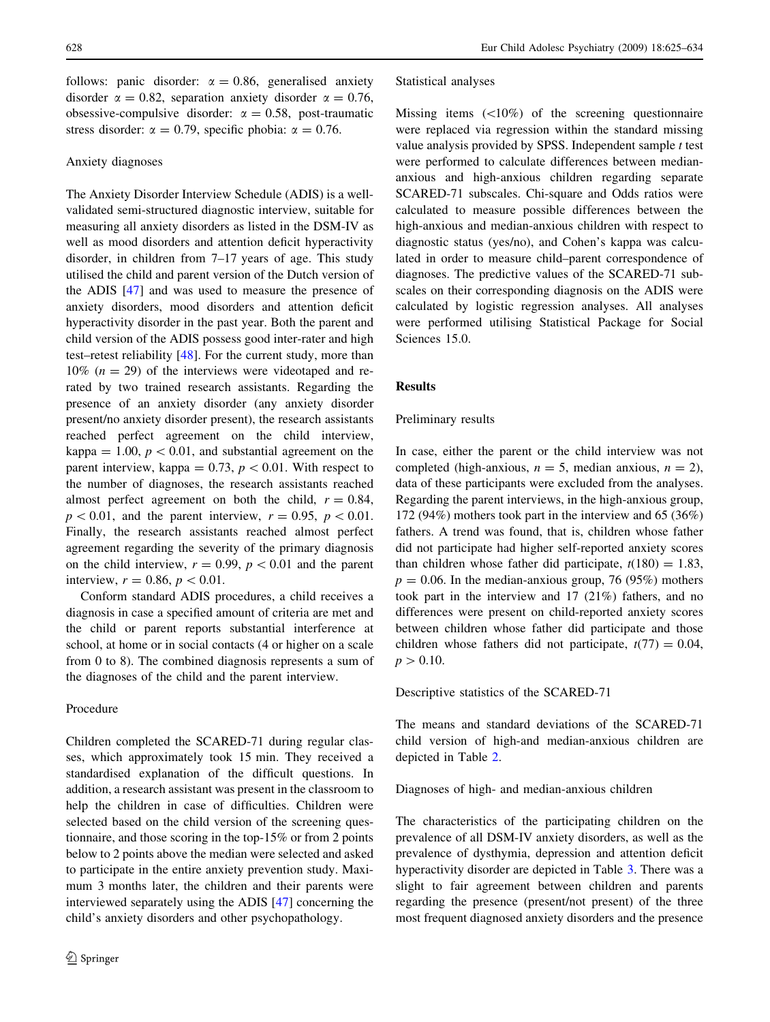follows: panic disorder:  $\alpha = 0.86$ , generalised anxiety disorder  $\alpha = 0.82$ , separation anxiety disorder  $\alpha = 0.76$ , obsessive-compulsive disorder:  $\alpha = 0.58$ , post-traumatic stress disorder:  $\alpha = 0.79$ , specific phobia:  $\alpha = 0.76$ .

# Anxiety diagnoses

The Anxiety Disorder Interview Schedule (ADIS) is a wellvalidated semi-structured diagnostic interview, suitable for measuring all anxiety disorders as listed in the DSM-IV as well as mood disorders and attention deficit hyperactivity disorder, in children from 7–17 years of age. This study utilised the child and parent version of the Dutch version of the ADIS [[47\]](#page-8-0) and was used to measure the presence of anxiety disorders, mood disorders and attention deficit hyperactivity disorder in the past year. Both the parent and child version of the ADIS possess good inter-rater and high test–retest reliability [[48\]](#page-8-0). For the current study, more than  $10\%$  ( $n = 29$ ) of the interviews were videotaped and rerated by two trained research assistants. Regarding the presence of an anxiety disorder (any anxiety disorder present/no anxiety disorder present), the research assistants reached perfect agreement on the child interview, kappa = 1.00,  $p < 0.01$ , and substantial agreement on the parent interview, kappa = 0.73,  $p < 0.01$ . With respect to the number of diagnoses, the research assistants reached almost perfect agreement on both the child,  $r = 0.84$ ,  $p\lt 0.01$ , and the parent interview,  $r = 0.95$ ,  $p\lt 0.01$ . Finally, the research assistants reached almost perfect agreement regarding the severity of the primary diagnosis on the child interview,  $r = 0.99$ ,  $p < 0.01$  and the parent interview,  $r = 0.86, p < 0.01$ .

Conform standard ADIS procedures, a child receives a diagnosis in case a specified amount of criteria are met and the child or parent reports substantial interference at school, at home or in social contacts (4 or higher on a scale from 0 to 8). The combined diagnosis represents a sum of the diagnoses of the child and the parent interview.

## Procedure

Children completed the SCARED-71 during regular classes, which approximately took 15 min. They received a standardised explanation of the difficult questions. In addition, a research assistant was present in the classroom to help the children in case of difficulties. Children were selected based on the child version of the screening questionnaire, and those scoring in the top-15% or from 2 points below to 2 points above the median were selected and asked to participate in the entire anxiety prevention study. Maximum 3 months later, the children and their parents were interviewed separately using the ADIS [\[47](#page-8-0)] concerning the child's anxiety disorders and other psychopathology.

#### Statistical analyses

Missing items  $(\langle 10\% \rangle)$  of the screening questionnaire were replaced via regression within the standard missing value analysis provided by SPSS. Independent sample t test were performed to calculate differences between mediananxious and high-anxious children regarding separate SCARED-71 subscales. Chi-square and Odds ratios were calculated to measure possible differences between the high-anxious and median-anxious children with respect to diagnostic status (yes/no), and Cohen's kappa was calculated in order to measure child–parent correspondence of diagnoses. The predictive values of the SCARED-71 subscales on their corresponding diagnosis on the ADIS were calculated by logistic regression analyses. All analyses were performed utilising Statistical Package for Social Sciences 15.0.

### Results

#### Preliminary results

In case, either the parent or the child interview was not completed (high-anxious,  $n = 5$ , median anxious,  $n = 2$ ), data of these participants were excluded from the analyses. Regarding the parent interviews, in the high-anxious group, 172 (94%) mothers took part in the interview and 65 (36%) fathers. A trend was found, that is, children whose father did not participate had higher self-reported anxiety scores than children whose father did participate,  $t(180) = 1.83$ ,  $p = 0.06$ . In the median-anxious group, 76 (95%) mothers took part in the interview and 17 (21%) fathers, and no differences were present on child-reported anxiety scores between children whose father did participate and those children whose fathers did not participate,  $t(77) = 0.04$ ,  $p>0.10$ .

Descriptive statistics of the SCARED-71

The means and standard deviations of the SCARED-71 child version of high-and median-anxious children are depicted in Table [2.](#page-4-0)

Diagnoses of high- and median-anxious children

The characteristics of the participating children on the prevalence of all DSM-IV anxiety disorders, as well as the prevalence of dysthymia, depression and attention deficit hyperactivity disorder are depicted in Table [3](#page-4-0). There was a slight to fair agreement between children and parents regarding the presence (present/not present) of the three most frequent diagnosed anxiety disorders and the presence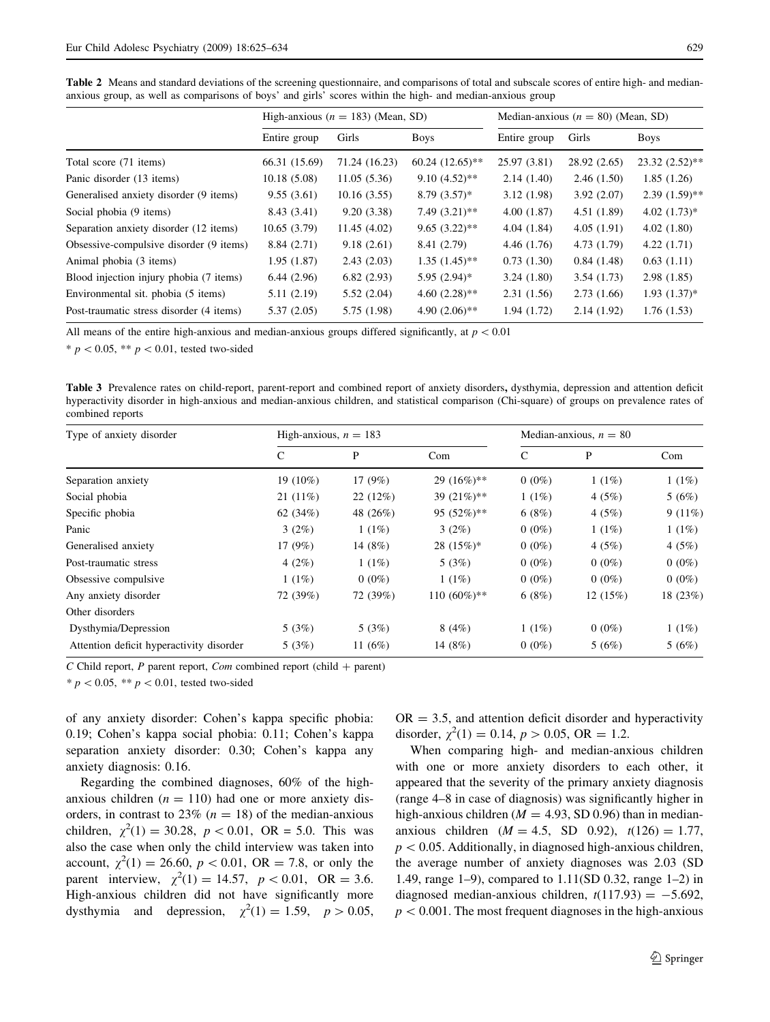<span id="page-4-0"></span>Table 2 Means and standard deviations of the screening questionnaire, and comparisons of total and subscale scores of entire high- and mediananxious group, as well as comparisons of boys' and girls' scores within the high- and median-anxious group

|                                          |               | High-anxious ( $n = 183$ ) (Mean, SD) |                      | Median-anxious ( $n = 80$ ) (Mean, SD) |              |                  |  |
|------------------------------------------|---------------|---------------------------------------|----------------------|----------------------------------------|--------------|------------------|--|
|                                          | Entire group  | Girls                                 | <b>Boys</b>          | Entire group                           | Girls        | <b>Boys</b>      |  |
| Total score (71 items)                   | 66.31 (15.69) | 71.24 (16.23)                         | $60.24$ $(12.65)$ ** | 25.97 (3.81)                           | 28.92 (2.65) | $23.32(2.52)$ ** |  |
| Panic disorder (13 items)                | 10.18(5.08)   | 11.05(5.36)                           | $9.10(4.52)$ **      | 2.14(1.40)                             | 2.46(1.50)   | 1.85(1.26)       |  |
| Generalised anxiety disorder (9 items)   | 9.55(3.61)    | 10.16(3.55)                           | $8.79(3.57)^*$       | 3.12(1.98)                             | 3.92(2.07)   | $2.39(1.59)$ **  |  |
| Social phobia (9 items)                  | 8.43 (3.41)   | 9.20(3.38)                            | $7.49(3.21)$ **      | 4.00(1.87)                             | 4.51(1.89)   | $4.02(1.73)*$    |  |
| Separation anxiety disorder (12 items)   | 10.65(3.79)   | 11.45(4.02)                           | $9.65(3.22)$ **      | 4.04(1.84)                             | 4.05(1.91)   | 4.02(1.80)       |  |
| Obsessive-compulsive disorder (9 items)  | 8.84(2.71)    | 9.18(2.61)                            | 8.41 (2.79)          | 4.46(1.76)                             | 4.73(1.79)   | 4.22(1.71)       |  |
| Animal phobia (3 items)                  | 1.95(1.87)    | 2.43(2.03)                            | $1.35(1.45)$ **      | 0.73(1.30)                             | 0.84(1.48)   | 0.63(1.11)       |  |
| Blood injection injury phobia (7 items)  | 6.44(2.96)    | 6.82(2.93)                            | $5.95(2.94)$ *       | 3.24(1.80)                             | 3.54(1.73)   | 2.98(1.85)       |  |
| Environmental sit. phobia (5 items)      | 5.11(2.19)    | 5.52(2.04)                            | 4.60 $(2.28)$ **     | 2.31(1.56)                             | 2.73(1.66)   | $1.93(1.37)^*$   |  |
| Post-traumatic stress disorder (4 items) | 5.37(2.05)    | 5.75 (1.98)                           | 4.90 $(2.06)$ **     | 1.94(1.72)                             | 2.14(1.92)   | 1.76(1.53)       |  |

All means of the entire high-anxious and median-anxious groups differed significantly, at  $p < 0.01$ 

\*  $p < 0.05$ , \*\*  $p < 0.01$ , tested two-sided

Table 3 Prevalence rates on child-report, parent-report and combined report of anxiety disorders, dysthymia, depression and attention deficit hyperactivity disorder in high-anxious and median-anxious children, and statistical comparison (Chi-square) of groups on prevalence rates of combined reports

| Type of anxiety disorder                 | High-anxious, $n = 183$ |           |                | Median-anxious, $n = 80$ |          |           |
|------------------------------------------|-------------------------|-----------|----------------|--------------------------|----------|-----------|
|                                          | C                       | P         | Com            | C                        | P        | Com       |
| Separation anxiety                       | 19 (10%)                | 17 $(9%)$ | $29(16\%)**$   | $0(0\%)$                 | 1(1%)    | 1(1%)     |
| Social phobia                            | $21(11\%)$              | 22(12%)   | 39 $(21\%)$ ** | 1(1%)                    | 4(5%)    | 5(6%)     |
| Specific phobia                          | 62 $(34%)$              | 48 (26%)  | 95 $(52\%)**$  | 6(8%)                    | 4(5%)    | $9(11\%)$ |
| Panic                                    | $3(2\%)$                | $1(1\%)$  | 3(2%)          | $0(0\%)$                 | 1(1%)    | 1(1%)     |
| Generalised anxiety                      | 17 $(9%)$               | 14 $(8%)$ | 28 $(15\%)^*$  | $0(0\%)$                 | 4(5%)    | 4(5%)     |
| Post-traumatic stress                    | 4(2%)                   | $1(1\%)$  | 5(3%)          | $0(0\%)$                 | $0(0\%)$ | $0(0\%)$  |
| Obsessive compulsive                     | $1(1\%)$                | $0(0\%)$  | $1(1\%)$       | $0(0\%)$                 | $0(0\%)$ | $0(0\%)$  |
| Any anxiety disorder                     | 72 (39%)                | 72 (39%)  | $110(60\%)**$  | 6(8%)                    | 12(15%)  | 18 (23%)  |
| Other disorders                          |                         |           |                |                          |          |           |
| Dysthymia/Depression                     | 5(3%)                   | 5(3%)     | 8(4%)          | $1(1\%)$                 | $0(0\%)$ | 1(1%)     |
| Attention deficit hyperactivity disorder | 5(3%)                   | 11 $(6%)$ | 14 $(8%)$      | $0(0\%)$                 | 5(6%)    | 5(6%)     |

C Child report,  $P$  parent report,  $Com$  combined report (child  $+$  parent)

\*  $p < 0.05$ , \*\*  $p < 0.01$ , tested two-sided

of any anxiety disorder: Cohen's kappa specific phobia: 0.19; Cohen's kappa social phobia: 0.11; Cohen's kappa separation anxiety disorder: 0.30; Cohen's kappa any anxiety diagnosis: 0.16.

Regarding the combined diagnoses, 60% of the highanxious children ( $n = 110$ ) had one or more anxiety disorders, in contrast to 23% ( $n = 18$ ) of the median-anxious children,  $\chi^2(1) = 30.28$ ,  $p < 0.01$ , OR = 5.0. This was also the case when only the child interview was taken into account,  $\chi^2(1) = 26.60$ ,  $p < 0.01$ , OR = 7.8, or only the parent interview,  $\chi^2(1) = 14.57$ ,  $p < 0.01$ , OR = 3.6. High-anxious children did not have significantly more dysthymia and depression,  $\chi^2(1) = 1.59$ ,  $p > 0.05$ ,  $OR = 3.5$ , and attention deficit disorder and hyperactivity disorder,  $\chi^2(1) = 0.14$ ,  $p > 0.05$ , OR = 1.2.

When comparing high- and median-anxious children with one or more anxiety disorders to each other, it appeared that the severity of the primary anxiety diagnosis (range 4–8 in case of diagnosis) was significantly higher in high-anxious children ( $M = 4.93$ , SD 0.96) than in mediananxious children  $(M = 4.5, SD \ 0.92)$ ,  $t(126) = 1.77$ ,  $p\lt 0.05$ . Additionally, in diagnosed high-anxious children, the average number of anxiety diagnoses was 2.03 (SD 1.49, range 1–9), compared to 1.11(SD 0.32, range 1–2) in diagnosed median-anxious children,  $t(117.93) = -5.692$ ,  $p<0.001$ . The most frequent diagnoses in the high-anxious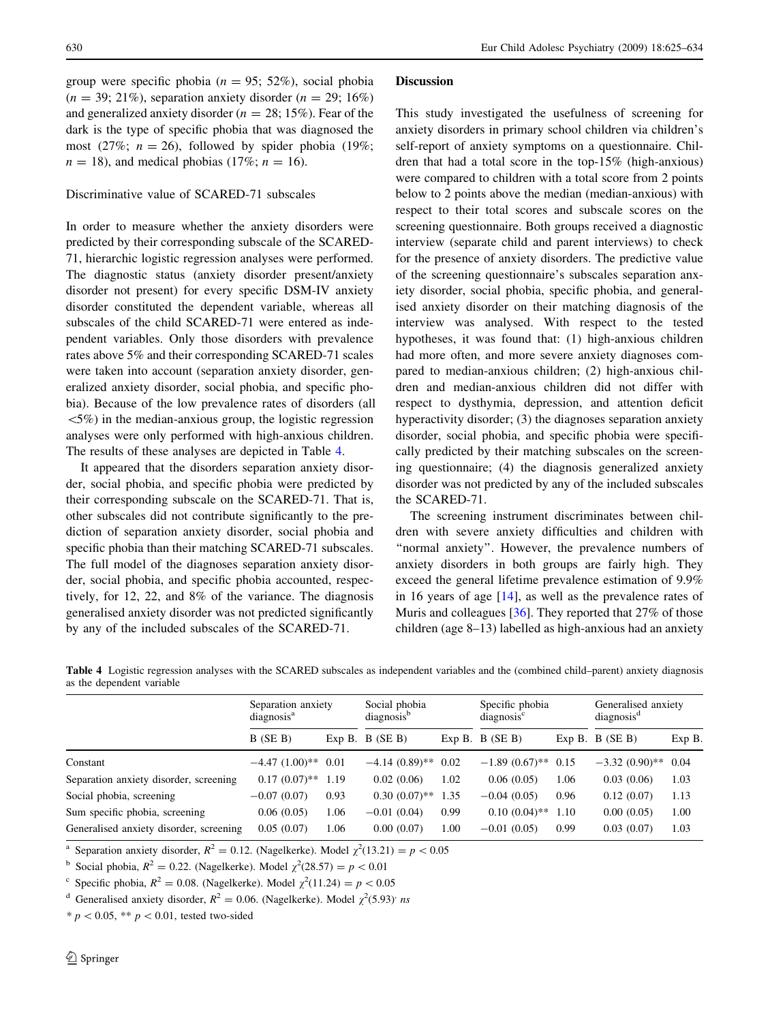group were specific phobia ( $n = 95$ ; 52%), social phobia  $(n = 39; 21\%)$ , separation anxiety disorder  $(n = 29; 16\%)$ and generalized anxiety disorder ( $n = 28$ ; 15%). Fear of the dark is the type of specific phobia that was diagnosed the most (27%;  $n = 26$ ), followed by spider phobia (19%;  $n = 18$ ), and medical phobias (17%;  $n = 16$ ).

# Discriminative value of SCARED-71 subscales

In order to measure whether the anxiety disorders were predicted by their corresponding subscale of the SCARED-71, hierarchic logistic regression analyses were performed. The diagnostic status (anxiety disorder present/anxiety disorder not present) for every specific DSM-IV anxiety disorder constituted the dependent variable, whereas all subscales of the child SCARED-71 were entered as independent variables. Only those disorders with prevalence rates above 5% and their corresponding SCARED-71 scales were taken into account (separation anxiety disorder, generalized anxiety disorder, social phobia, and specific phobia). Because of the low prevalence rates of disorders (all  $\leq 5\%$ ) in the median-anxious group, the logistic regression analyses were only performed with high-anxious children. The results of these analyses are depicted in Table 4.

It appeared that the disorders separation anxiety disorder, social phobia, and specific phobia were predicted by their corresponding subscale on the SCARED-71. That is, other subscales did not contribute significantly to the prediction of separation anxiety disorder, social phobia and specific phobia than their matching SCARED-71 subscales. The full model of the diagnoses separation anxiety disorder, social phobia, and specific phobia accounted, respectively, for 12, 22, and 8% of the variance. The diagnosis generalised anxiety disorder was not predicted significantly by any of the included subscales of the SCARED-71.

### **Discussion**

This study investigated the usefulness of screening for anxiety disorders in primary school children via children's self-report of anxiety symptoms on a questionnaire. Children that had a total score in the top-15% (high-anxious) were compared to children with a total score from 2 points below to 2 points above the median (median-anxious) with respect to their total scores and subscale scores on the screening questionnaire. Both groups received a diagnostic interview (separate child and parent interviews) to check for the presence of anxiety disorders. The predictive value of the screening questionnaire's subscales separation anxiety disorder, social phobia, specific phobia, and generalised anxiety disorder on their matching diagnosis of the interview was analysed. With respect to the tested hypotheses, it was found that: (1) high-anxious children had more often, and more severe anxiety diagnoses compared to median-anxious children; (2) high-anxious children and median-anxious children did not differ with respect to dysthymia, depression, and attention deficit hyperactivity disorder; (3) the diagnoses separation anxiety disorder, social phobia, and specific phobia were specifically predicted by their matching subscales on the screening questionnaire; (4) the diagnosis generalized anxiety disorder was not predicted by any of the included subscales the SCARED-71.

The screening instrument discriminates between children with severe anxiety difficulties and children with "normal anxiety". However, the prevalence numbers of anxiety disorders in both groups are fairly high. They exceed the general lifetime prevalence estimation of 9.9% in 16 years of age [[14\]](#page-8-0), as well as the prevalence rates of Muris and colleagues [\[36](#page-8-0)]. They reported that 27% of those children (age 8–13) labelled as high-anxious had an anxiety

Table 4 Logistic regression analyses with the SCARED subscales as independent variables and the (combined child–parent) anxiety diagnosis as the dependent variable

|                                         | Separation anxiety<br>diagnosis <sup>a</sup> |      | Social phobia<br>diagnosis <sup>b</sup> |      | Specific phobia<br>diagnosis <sup>c</sup> |      | Generalised anxiety<br>diagnosis <sup>d</sup> |        |
|-----------------------------------------|----------------------------------------------|------|-----------------------------------------|------|-------------------------------------------|------|-----------------------------------------------|--------|
|                                         | $B$ (SE B)                                   |      | Exp B. B (SE B)                         |      | Exp B. B $(SE B)$                         |      | Exp B. B $(SE B)$                             | Exp B. |
| Constant                                | $-4.47(1.00)$ ** 0.01                        |      | $-4.14(0.89)$ ** 0.02                   |      | $-1.89(0.67)$ ** 0.15                     |      | $-3.32(0.90)$ **                              | 0.04   |
| Separation anxiety disorder, screening  | $0.17(0.07)$ **                              | 1.19 | 0.02(0.06)                              | 1.02 | 0.06(0.05)                                | 1.06 | 0.03(0.06)                                    | 1.03   |
| Social phobia, screening                | $-0.07(0.07)$                                | 0.93 | $0.30(0.07)$ **                         | 1.35 | $-0.04(0.05)$                             | 0.96 | 0.12(0.07)                                    | 1.13   |
| Sum specific phobia, screening          | 0.06(0.05)                                   | 1.06 | $-0.01(0.04)$                           | 0.99 | $0.10(0.04)$ **                           | 1.10 | 0.00(0.05)                                    | 1.00   |
| Generalised anxiety disorder, screening | 0.05(0.07)                                   | 1.06 | 0.00(0.07)                              | 1.00 | $-0.01(0.05)$                             | 0.99 | 0.03(0.07)                                    | 1.03   |

<sup>a</sup> Separation anxiety disorder,  $R^2 = 0.12$ . (Nagelkerke). Model  $\chi^2(13.21) = p < 0.05$ 

<sup>b</sup> Social phobia,  $R^2 = 0.22$ . (Nagelkerke). Model  $\chi^2(28.57) = p < 0.01$ 

<sup>c</sup> Specific phobia,  $R^2 = 0.08$ . (Nagelkerke). Model  $\chi^2(11.24) = p < 0.05$ 

<sup>d</sup> Generalised anxiety disorder,  $R^2 = 0.06$ . (Nagelkerke). Model  $\chi^2$ (5.93)<sup>,</sup> ns

\*  $p < 0.05$ , \*\*  $p < 0.01$ , tested two-sided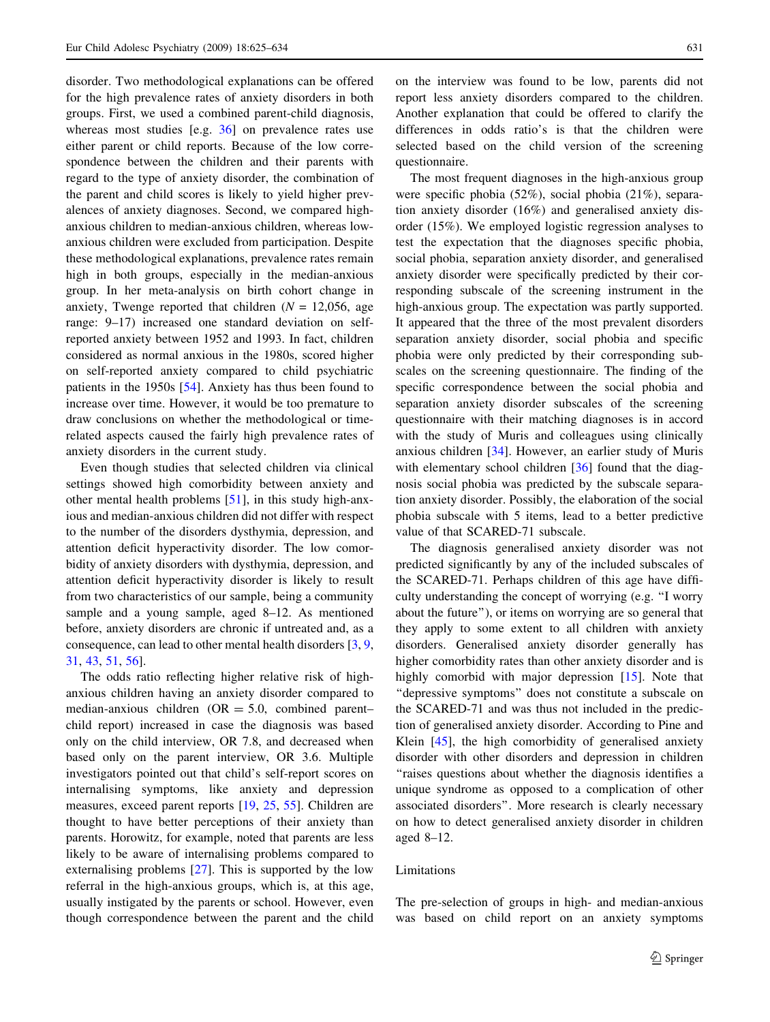disorder. Two methodological explanations can be offered for the high prevalence rates of anxiety disorders in both groups. First, we used a combined parent-child diagnosis, whereas most studies [e.g. [36](#page-8-0)] on prevalence rates use either parent or child reports. Because of the low correspondence between the children and their parents with regard to the type of anxiety disorder, the combination of the parent and child scores is likely to yield higher prevalences of anxiety diagnoses. Second, we compared highanxious children to median-anxious children, whereas lowanxious children were excluded from participation. Despite these methodological explanations, prevalence rates remain high in both groups, especially in the median-anxious group. In her meta-analysis on birth cohort change in anxiety, Twenge reported that children  $(N = 12,056, \text{ age})$ range: 9–17) increased one standard deviation on selfreported anxiety between 1952 and 1993. In fact, children considered as normal anxious in the 1980s, scored higher on self-reported anxiety compared to child psychiatric patients in the 1950s [\[54](#page-9-0)]. Anxiety has thus been found to increase over time. However, it would be too premature to draw conclusions on whether the methodological or timerelated aspects caused the fairly high prevalence rates of anxiety disorders in the current study.

Even though studies that selected children via clinical settings showed high comorbidity between anxiety and other mental health problems [\[51](#page-9-0)], in this study high-anxious and median-anxious children did not differ with respect to the number of the disorders dysthymia, depression, and attention deficit hyperactivity disorder. The low comorbidity of anxiety disorders with dysthymia, depression, and attention deficit hyperactivity disorder is likely to result from two characteristics of our sample, being a community sample and a young sample, aged 8–12. As mentioned before, anxiety disorders are chronic if untreated and, as a consequence, can lead to other mental health disorders [\[3](#page-7-0), [9,](#page-7-0) [31](#page-8-0), [43](#page-8-0), [51,](#page-9-0) [56](#page-9-0)].

The odds ratio reflecting higher relative risk of highanxious children having an anxiety disorder compared to median-anxious children  $(OR = 5.0,$  combined parent– child report) increased in case the diagnosis was based only on the child interview, OR 7.8, and decreased when based only on the parent interview, OR 3.6. Multiple investigators pointed out that child's self-report scores on internalising symptoms, like anxiety and depression measures, exceed parent reports [[19,](#page-8-0) [25,](#page-8-0) [55](#page-9-0)]. Children are thought to have better perceptions of their anxiety than parents. Horowitz, for example, noted that parents are less likely to be aware of internalising problems compared to externalising problems [[27\]](#page-8-0). This is supported by the low referral in the high-anxious groups, which is, at this age, usually instigated by the parents or school. However, even though correspondence between the parent and the child on the interview was found to be low, parents did not report less anxiety disorders compared to the children. Another explanation that could be offered to clarify the differences in odds ratio's is that the children were selected based on the child version of the screening questionnaire.

The most frequent diagnoses in the high-anxious group were specific phobia (52%), social phobia (21%), separation anxiety disorder (16%) and generalised anxiety disorder (15%). We employed logistic regression analyses to test the expectation that the diagnoses specific phobia, social phobia, separation anxiety disorder, and generalised anxiety disorder were specifically predicted by their corresponding subscale of the screening instrument in the high-anxious group. The expectation was partly supported. It appeared that the three of the most prevalent disorders separation anxiety disorder, social phobia and specific phobia were only predicted by their corresponding subscales on the screening questionnaire. The finding of the specific correspondence between the social phobia and separation anxiety disorder subscales of the screening questionnaire with their matching diagnoses is in accord with the study of Muris and colleagues using clinically anxious children [\[34](#page-8-0)]. However, an earlier study of Muris with elementary school children [\[36](#page-8-0)] found that the diagnosis social phobia was predicted by the subscale separation anxiety disorder. Possibly, the elaboration of the social phobia subscale with 5 items, lead to a better predictive value of that SCARED-71 subscale.

The diagnosis generalised anxiety disorder was not predicted significantly by any of the included subscales of the SCARED-71. Perhaps children of this age have difficulty understanding the concept of worrying (e.g. ''I worry about the future''), or items on worrying are so general that they apply to some extent to all children with anxiety disorders. Generalised anxiety disorder generally has higher comorbidity rates than other anxiety disorder and is highly comorbid with major depression [\[15](#page-8-0)]. Note that ''depressive symptoms'' does not constitute a subscale on the SCARED-71 and was thus not included in the prediction of generalised anxiety disorder. According to Pine and Klein [[45\]](#page-8-0), the high comorbidity of generalised anxiety disorder with other disorders and depression in children ''raises questions about whether the diagnosis identifies a unique syndrome as opposed to a complication of other associated disorders''. More research is clearly necessary on how to detect generalised anxiety disorder in children aged 8–12.

# Limitations

The pre-selection of groups in high- and median-anxious was based on child report on an anxiety symptoms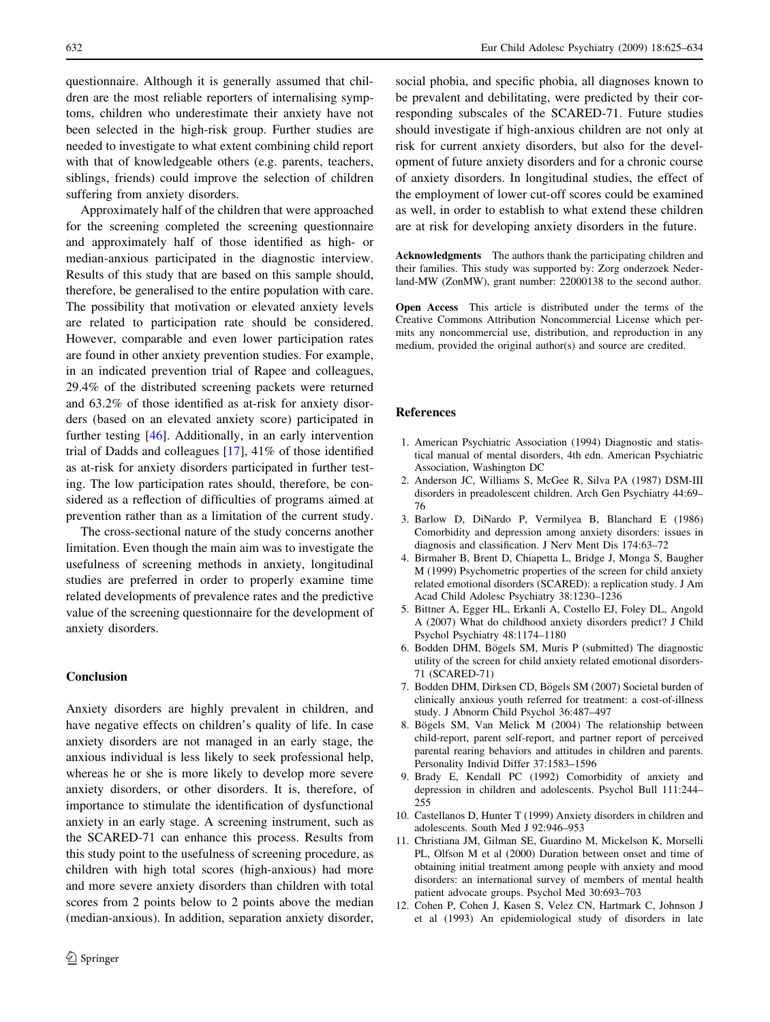<span id="page-7-0"></span>questionnaire. Although it is generally assumed that children are the most reliable reporters of internalising symptoms, children who underestimate their anxiety have not been selected in the high-risk group. Further studies are needed to investigate to what extent combining child report with that of knowledgeable others (e.g. parents, teachers, siblings, friends) could improve the selection of children suffering from anxiety disorders.

Approximately half of the children that were approached for the screening completed the screening questionnaire and approximately half of those identified as high- or median-anxious participated in the diagnostic interview. Results of this study that are based on this sample should, therefore, be generalised to the entire population with care. The possibility that motivation or elevated anxiety levels are related to participation rate should be considered. However, comparable and even lower participation rates are found in other anxiety prevention studies. For example, in an indicated prevention trial of Rapee and colleagues, 29.4% of the distributed screening packets were returned and 63.2% of those identified as at-risk for anxiety disorders (based on an elevated anxiety score) participated in further testing [[46\]](#page-8-0). Additionally, in an early intervention trial of Dadds and colleagues [[17\]](#page-8-0), 41% of those identified as at-risk for anxiety disorders participated in further testing. The low participation rates should, therefore, be considered as a reflection of difficulties of programs aimed at prevention rather than as a limitation of the current study.

The cross-sectional nature of the study concerns another limitation. Even though the main aim was to investigate the usefulness of screening methods in anxiety, longitudinal studies are preferred in order to properly examine time related developments of prevalence rates and the predictive value of the screening questionnaire for the development of anxiety disorders.

## **Conclusion**

Anxiety disorders are highly prevalent in children, and have negative effects on children's quality of life. In case anxiety disorders are not managed in an early stage, the anxious individual is less likely to seek professional help, whereas he or she is more likely to develop more severe anxiety disorders, or other disorders. It is, therefore, of importance to stimulate the identification of dysfunctional anxiety in an early stage. A screening instrument, such as the SCARED-71 can enhance this process. Results from this study point to the usefulness of screening procedure, as children with high total scores (high-anxious) had more and more severe anxiety disorders than children with total scores from 2 points below to 2 points above the median (median-anxious). In addition, separation anxiety disorder, social phobia, and specific phobia, all diagnoses known to be prevalent and debilitating, were predicted by their corresponding subscales of the SCARED-71. Future studies should investigate if high-anxious children are not only at risk for current anxiety disorders, but also for the development of future anxiety disorders and for a chronic course of anxiety disorders. In longitudinal studies, the effect of the employment of lower cut-off scores could be examined as well, in order to establish to what extend these children are at risk for developing anxiety disorders in the future.

Acknowledgments The authors thank the participating children and their families. This study was supported by: Zorg onderzoek Nederland-MW (ZonMW), grant number: 22000138 to the second author.

Open Access This article is distributed under the terms of the Creative Commons Attribution Noncommercial License which permits any noncommercial use, distribution, and reproduction in any medium, provided the original author(s) and source are credited.

#### References

- 1. American Psychiatric Association (1994) Diagnostic and statistical manual of mental disorders, 4th edn. American Psychiatric Association, Washington DC
- 2. Anderson JC, Williams S, McGee R, Silva PA (1987) DSM-III disorders in preadolescent children. Arch Gen Psychiatry 44:69– 76
- 3. Barlow D, DiNardo P, Vermilyea B, Blanchard E (1986) Comorbidity and depression among anxiety disorders: issues in diagnosis and classification. J Nerv Ment Dis 174:63–72
- 4. Birmaher B, Brent D, Chiapetta L, Bridge J, Monga S, Baugher M (1999) Psychometric properties of the screen for child anxiety related emotional disorders (SCARED): a replication study. J Am Acad Child Adolesc Psychiatry 38:1230–1236
- 5. Bittner A, Egger HL, Erkanli A, Costello EJ, Foley DL, Angold A (2007) What do childhood anxiety disorders predict? J Child Psychol Psychiatry 48:1174–1180
- 6. Bodden DHM, Bögels SM, Muris P (submitted) The diagnostic utility of the screen for child anxiety related emotional disorders-71 (SCARED-71)
- 7. Bodden DHM, Dirksen CD, Bögels SM (2007) Societal burden of clinically anxious youth referred for treatment: a cost-of-illness study. J Abnorm Child Psychol 36:487–497
- 8. Bögels SM, Van Melick M (2004) The relationship between child-report, parent self-report, and partner report of perceived parental rearing behaviors and attitudes in children and parents. Personality Individ Differ 37:1583–1596
- 9. Brady E, Kendall PC (1992) Comorbidity of anxiety and depression in children and adolescents. Psychol Bull 111:244– 255
- 10. Castellanos D, Hunter T (1999) Anxiety disorders in children and adolescents. South Med J 92:946–953
- 11. Christiana JM, Gilman SE, Guardino M, Mickelson K, Morselli PL, Olfson M et al (2000) Duration between onset and time of obtaining initial treatment among people with anxiety and mood disorders: an international survey of members of mental health patient advocate groups. Psychol Med 30:693–703
- 12. Cohen P, Cohen J, Kasen S, Velez CN, Hartmark C, Johnson J et al (1993) An epidemiological study of disorders in late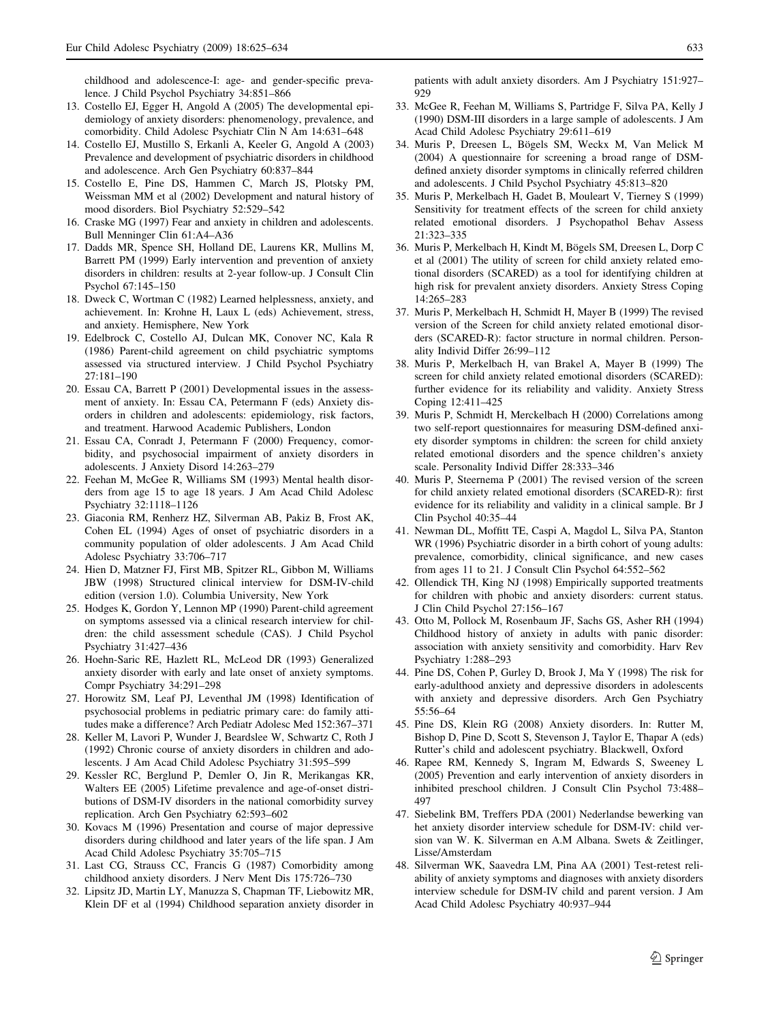<span id="page-8-0"></span>childhood and adolescence-I: age- and gender-specific prevalence. J Child Psychol Psychiatry 34:851–866

- 13. Costello EJ, Egger H, Angold A (2005) The developmental epidemiology of anxiety disorders: phenomenology, prevalence, and comorbidity. Child Adolesc Psychiatr Clin N Am 14:631–648
- 14. Costello EJ, Mustillo S, Erkanli A, Keeler G, Angold A (2003) Prevalence and development of psychiatric disorders in childhood and adolescence. Arch Gen Psychiatry 60:837–844
- 15. Costello E, Pine DS, Hammen C, March JS, Plotsky PM, Weissman MM et al (2002) Development and natural history of mood disorders. Biol Psychiatry 52:529–542
- 16. Craske MG (1997) Fear and anxiety in children and adolescents. Bull Menninger Clin 61:A4–A36
- 17. Dadds MR, Spence SH, Holland DE, Laurens KR, Mullins M, Barrett PM (1999) Early intervention and prevention of anxiety disorders in children: results at 2-year follow-up. J Consult Clin Psychol 67:145–150
- 18. Dweck C, Wortman C (1982) Learned helplessness, anxiety, and achievement. In: Krohne H, Laux L (eds) Achievement, stress, and anxiety. Hemisphere, New York
- 19. Edelbrock C, Costello AJ, Dulcan MK, Conover NC, Kala R (1986) Parent-child agreement on child psychiatric symptoms assessed via structured interview. J Child Psychol Psychiatry 27:181–190
- 20. Essau CA, Barrett P (2001) Developmental issues in the assessment of anxiety. In: Essau CA, Petermann F (eds) Anxiety disorders in children and adolescents: epidemiology, risk factors, and treatment. Harwood Academic Publishers, London
- 21. Essau CA, Conradt J, Petermann F (2000) Frequency, comorbidity, and psychosocial impairment of anxiety disorders in adolescents. J Anxiety Disord 14:263–279
- 22. Feehan M, McGee R, Williams SM (1993) Mental health disorders from age 15 to age 18 years. J Am Acad Child Adolesc Psychiatry 32:1118–1126
- 23. Giaconia RM, Renherz HZ, Silverman AB, Pakiz B, Frost AK, Cohen EL (1994) Ages of onset of psychiatric disorders in a community population of older adolescents. J Am Acad Child Adolesc Psychiatry 33:706–717
- 24. Hien D, Matzner FJ, First MB, Spitzer RL, Gibbon M, Williams JBW (1998) Structured clinical interview for DSM-IV-child edition (version 1.0). Columbia University, New York
- 25. Hodges K, Gordon Y, Lennon MP (1990) Parent-child agreement on symptoms assessed via a clinical research interview for children: the child assessment schedule (CAS). J Child Psychol Psychiatry 31:427–436
- 26. Hoehn-Saric RE, Hazlett RL, McLeod DR (1993) Generalized anxiety disorder with early and late onset of anxiety symptoms. Compr Psychiatry 34:291–298
- 27. Horowitz SM, Leaf PJ, Leventhal JM (1998) Identification of psychosocial problems in pediatric primary care: do family attitudes make a difference? Arch Pediatr Adolesc Med 152:367–371
- 28. Keller M, Lavori P, Wunder J, Beardslee W, Schwartz C, Roth J (1992) Chronic course of anxiety disorders in children and adolescents. J Am Acad Child Adolesc Psychiatry 31:595–599
- 29. Kessler RC, Berglund P, Demler O, Jin R, Merikangas KR, Walters EE (2005) Lifetime prevalence and age-of-onset distributions of DSM-IV disorders in the national comorbidity survey replication. Arch Gen Psychiatry 62:593–602
- 30. Kovacs M (1996) Presentation and course of major depressive disorders during childhood and later years of the life span. J Am Acad Child Adolesc Psychiatry 35:705–715
- 31. Last CG, Strauss CC, Francis G (1987) Comorbidity among childhood anxiety disorders. J Nerv Ment Dis 175:726–730
- 32. Lipsitz JD, Martin LY, Manuzza S, Chapman TF, Liebowitz MR, Klein DF et al (1994) Childhood separation anxiety disorder in

patients with adult anxiety disorders. Am J Psychiatry 151:927– 929

- 33. McGee R, Feehan M, Williams S, Partridge F, Silva PA, Kelly J (1990) DSM-III disorders in a large sample of adolescents. J Am Acad Child Adolesc Psychiatry 29:611–619
- 34. Muris P, Dreesen L, Bögels SM, Weckx M, Van Melick M (2004) A questionnaire for screening a broad range of DSMdefined anxiety disorder symptoms in clinically referred children and adolescents. J Child Psychol Psychiatry 45:813–820
- 35. Muris P, Merkelbach H, Gadet B, Mouleart V, Tierney S (1999) Sensitivity for treatment effects of the screen for child anxiety related emotional disorders. J Psychopathol Behav Assess 21:323–335
- 36. Muris P, Merkelbach H, Kindt M, Bögels SM, Dreesen L, Dorp C et al (2001) The utility of screen for child anxiety related emotional disorders (SCARED) as a tool for identifying children at high risk for prevalent anxiety disorders. Anxiety Stress Coping 14:265–283
- 37. Muris P, Merkelbach H, Schmidt H, Mayer B (1999) The revised version of the Screen for child anxiety related emotional disorders (SCARED-R): factor structure in normal children. Personality Individ Differ 26:99–112
- 38. Muris P, Merkelbach H, van Brakel A, Mayer B (1999) The screen for child anxiety related emotional disorders (SCARED): further evidence for its reliability and validity. Anxiety Stress Coping 12:411–425
- 39. Muris P, Schmidt H, Merckelbach H (2000) Correlations among two self-report questionnaires for measuring DSM-defined anxiety disorder symptoms in children: the screen for child anxiety related emotional disorders and the spence children's anxiety scale. Personality Individ Differ 28:333–346
- 40. Muris P, Steernema P (2001) The revised version of the screen for child anxiety related emotional disorders (SCARED-R): first evidence for its reliability and validity in a clinical sample. Br J Clin Psychol 40:35–44
- 41. Newman DL, Moffitt TE, Caspi A, Magdol L, Silva PA, Stanton WR (1996) Psychiatric disorder in a birth cohort of young adults: prevalence, comorbidity, clinical significance, and new cases from ages 11 to 21. J Consult Clin Psychol 64:552–562
- 42. Ollendick TH, King NJ (1998) Empirically supported treatments for children with phobic and anxiety disorders: current status. J Clin Child Psychol 27:156–167
- 43. Otto M, Pollock M, Rosenbaum JF, Sachs GS, Asher RH (1994) Childhood history of anxiety in adults with panic disorder: association with anxiety sensitivity and comorbidity. Harv Rev Psychiatry 1:288–293
- 44. Pine DS, Cohen P, Gurley D, Brook J, Ma Y (1998) The risk for early-adulthood anxiety and depressive disorders in adolescents with anxiety and depressive disorders. Arch Gen Psychiatry 55:56–64
- 45. Pine DS, Klein RG (2008) Anxiety disorders. In: Rutter M, Bishop D, Pine D, Scott S, Stevenson J, Taylor E, Thapar A (eds) Rutter's child and adolescent psychiatry. Blackwell, Oxford
- 46. Rapee RM, Kennedy S, Ingram M, Edwards S, Sweeney L (2005) Prevention and early intervention of anxiety disorders in inhibited preschool children. J Consult Clin Psychol 73:488– 497
- 47. Siebelink BM, Treffers PDA (2001) Nederlandse bewerking van het anxiety disorder interview schedule for DSM-IV: child version van W. K. Silverman en A.M Albana. Swets & Zeitlinger, Lisse/Amsterdam
- 48. Silverman WK, Saavedra LM, Pina AA (2001) Test-retest reliability of anxiety symptoms and diagnoses with anxiety disorders interview schedule for DSM-IV child and parent version. J Am Acad Child Adolesc Psychiatry 40:937–944